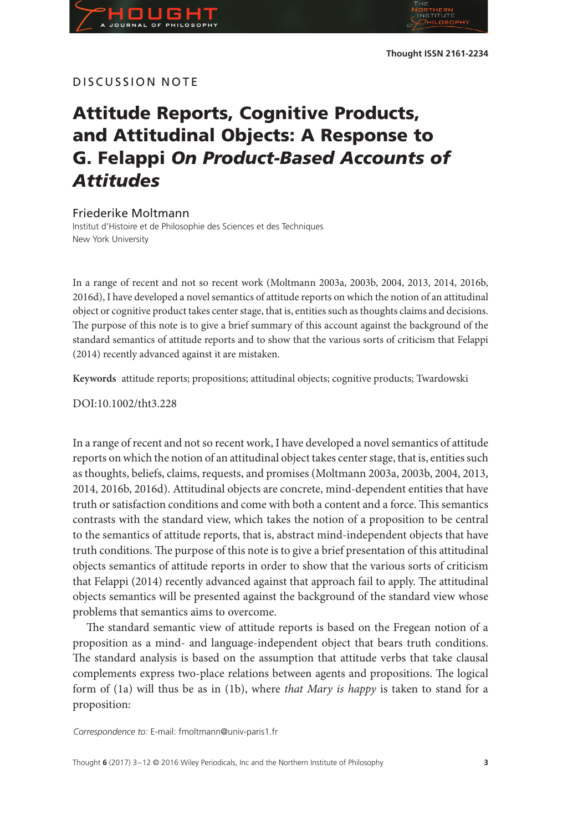## DISCUSSION NOTE

# **Attitude Reports, Cognitive Products, and Attitudinal Objects: A Response to G. Felappi** *On Product-Based Accounts of Attitudes*

### Friederike Moltmann

Institut d'Histoire et de Philosophie des Sciences et des Techniques New York University

In a range of recent and not so recent work (Moltmann 2003a, 2003b, 2004, 2013, 2014, 2016b, 2016d), I have developed a novel semantics of attitude reports on which the notion of an attitudinal object or cognitive product takes center stage, that is, entities such as thoughts claims and decisions. The purpose of this note is to give a brief summary of this account against the background of the standard semantics of attitude reports and to show that the various sorts of criticism that Felappi (2014) recently advanced against it are mistaken.

**Keywords** attitude reports; propositions; attitudinal objects; cognitive products; Twardowski

DOI:10.1002/tht3.228

In a range of recent and not so recent work, I have developed a novel semantics of attitude reports on which the notion of an attitudinal object takes center stage, that is, entities such as thoughts, beliefs, claims, requests, and promises (Moltmann 2003a, 2003b, 2004, 2013, 2014, 2016b, 2016d). Attitudinal objects are concrete, mind-dependent entities that have truth or satisfaction conditions and come with both a content and a force. This semantics contrasts with the standard view, which takes the notion of a proposition to be central to the semantics of attitude reports, that is, abstract mind-independent objects that have truth conditions. The purpose of this note is to give a brief presentation of this attitudinal objects semantics of attitude reports in order to show that the various sorts of criticism that Felappi (2014) recently advanced against that approach fail to apply. The attitudinal objects semantics will be presented against the background of the standard view whose problems that semantics aims to overcome.

The standard semantic view of attitude reports is based on the Fregean notion of a proposition as a mind- and language-independent object that bears truth conditions. The standard analysis is based on the assumption that attitude verbs that take clausal complements express two-place relations between agents and propositions. The logical form of (1a) will thus be as in (1b), where *that Mary is happy* is taken to stand for a proposition:

*Correspondence to:* E-mail: fmoltmann@univ-paris1.fr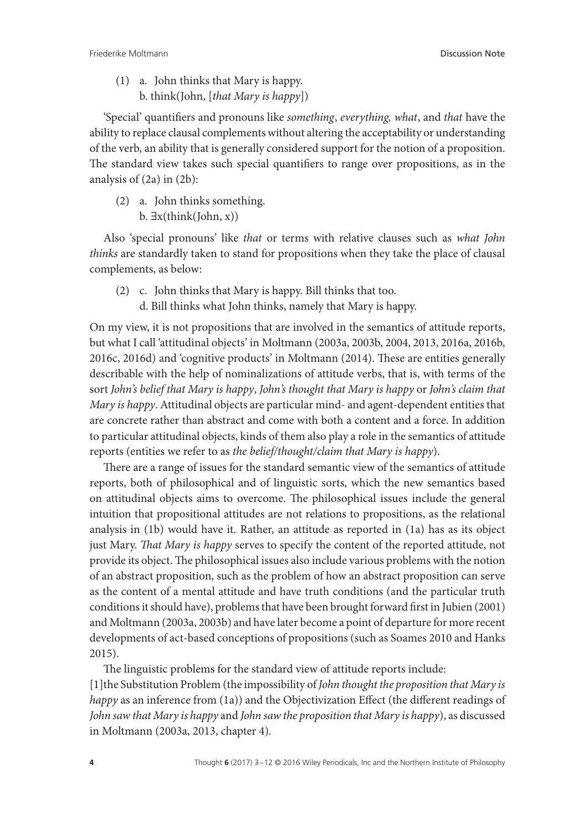(1) a. John thinks that Mary is happy. b. think(John, [*that Mary is happy*])

'Special' quantifiers and pronouns like *something*, *everything, what*, and *that* have the ability to replace clausal complements without altering the acceptability or understanding of the verb, an ability that is generally considered support for the notion of a proposition. The standard view takes such special quantifiers to range over propositions, as in the analysis of (2a) in (2b):

(2) a. John thinks something. b.  $\exists x$ (think(John, x))

Also 'special pronouns' like *that* or terms with relative clauses such as *what John thinks* are standardly taken to stand for propositions when they take the place of clausal complements, as below:

- (2) c. John thinks that Mary is happy. Bill thinks that too.
	- d. Bill thinks what John thinks, namely that Mary is happy.

On my view, it is not propositions that are involved in the semantics of attitude reports, but what I call 'attitudinal objects' in Moltmann (2003a, 2003b, 2004, 2013, 2016a, 2016b, 2016c, 2016d) and 'cognitive products' in Moltmann (2014). These are entities generally describable with the help of nominalizations of attitude verbs, that is, with terms of the sort *John's belief that Mary is happy*, *John's thought that Mary is happy* or *John's claim that Mary is happy*. Attitudinal objects are particular mind- and agent-dependent entities that are concrete rather than abstract and come with both a content and a force. In addition to particular attitudinal objects, kinds of them also play a role in the semantics of attitude reports (entities we refer to as *the belief/thought/claim that Mary is happy*).

There are a range of issues for the standard semantic view of the semantics of attitude reports, both of philosophical and of linguistic sorts, which the new semantics based on attitudinal objects aims to overcome. The philosophical issues include the general intuition that propositional attitudes are not relations to propositions, as the relational analysis in (1b) would have it. Rather, an attitude as reported in (1a) has as its object just Mary. *That Mary is happy* serves to specify the content of the reported attitude, not provide its object. The philosophical issues also include various problems with the notion of an abstract proposition, such as the problem of how an abstract proposition can serve as the content of a mental attitude and have truth conditions (and the particular truth conditions it should have), problems that have been brought forward first in Jubien (2001) and Moltmann (2003a, 2003b) and have later become a point of departure for more recent developments of act-based conceptions of propositions (such as Soames 2010 and Hanks 2015).

The linguistic problems for the standard view of attitude reports include:

[1]the Substitution Problem (the impossibility of *John thought the proposition that Mary is happy* as an inference from (1a)) and the Objectivization Effect (the different readings of *John saw that Mary is happy* and *John saw the proposition that Mary is happy*), as discussed in Moltmann (2003a, 2013, chapter 4).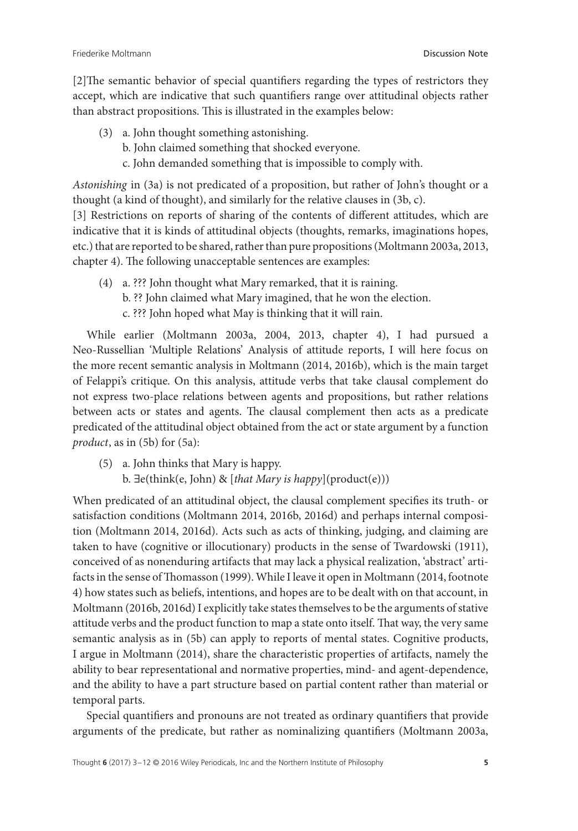[2]The semantic behavior of special quantifiers regarding the types of restrictors they accept, which are indicative that such quantifiers range over attitudinal objects rather than abstract propositions. This is illustrated in the examples below:

- (3) a. John thought something astonishing.
	- b. John claimed something that shocked everyone.
	- c. John demanded something that is impossible to comply with.

*Astonishing* in (3a) is not predicated of a proposition, but rather of John's thought or a thought (a kind of thought), and similarly for the relative clauses in (3b, c).

[3] Restrictions on reports of sharing of the contents of different attitudes, which are indicative that it is kinds of attitudinal objects (thoughts, remarks, imaginations hopes, etc.) that are reported to be shared, rather than pure propositions (Moltmann 2003a, 2013, chapter 4). The following unacceptable sentences are examples:

(4) a. ??? John thought what Mary remarked, that it is raining. b. ?? John claimed what Mary imagined, that he won the election. c. ??? John hoped what May is thinking that it will rain.

While earlier (Moltmann 2003a, 2004, 2013, chapter 4), I had pursued a Neo-Russellian 'Multiple Relations' Analysis of attitude reports, I will here focus on the more recent semantic analysis in Moltmann (2014, 2016b), which is the main target of Felappi's critique. On this analysis, attitude verbs that take clausal complement do not express two-place relations between agents and propositions, but rather relations between acts or states and agents. The clausal complement then acts as a predicate predicated of the attitudinal object obtained from the act or state argument by a function *product*, as in (5b) for (5a):

(5) a. John thinks that Mary is happy. b. ∃e(think(e, John) & [*that Mary is happy*](product(e)))

When predicated of an attitudinal object, the clausal complement specifies its truth- or satisfaction conditions (Moltmann 2014, 2016b, 2016d) and perhaps internal composition (Moltmann 2014, 2016d). Acts such as acts of thinking, judging, and claiming are taken to have (cognitive or illocutionary) products in the sense of Twardowski (1911), conceived of as nonenduring artifacts that may lack a physical realization, 'abstract' artifacts in the sense ofThomasson (1999). While I leave it open in Moltmann (2014, footnote 4) how states such as beliefs, intentions, and hopes are to be dealt with on that account, in Moltmann (2016b, 2016d) I explicitly take states themselves to be the arguments of stative attitude verbs and the product function to map a state onto itself. That way, the very same semantic analysis as in (5b) can apply to reports of mental states. Cognitive products, I argue in Moltmann (2014), share the characteristic properties of artifacts, namely the ability to bear representational and normative properties, mind- and agent-dependence, and the ability to have a part structure based on partial content rather than material or temporal parts.

Special quantifiers and pronouns are not treated as ordinary quantifiers that provide arguments of the predicate, but rather as nominalizing quantifiers (Moltmann 2003a,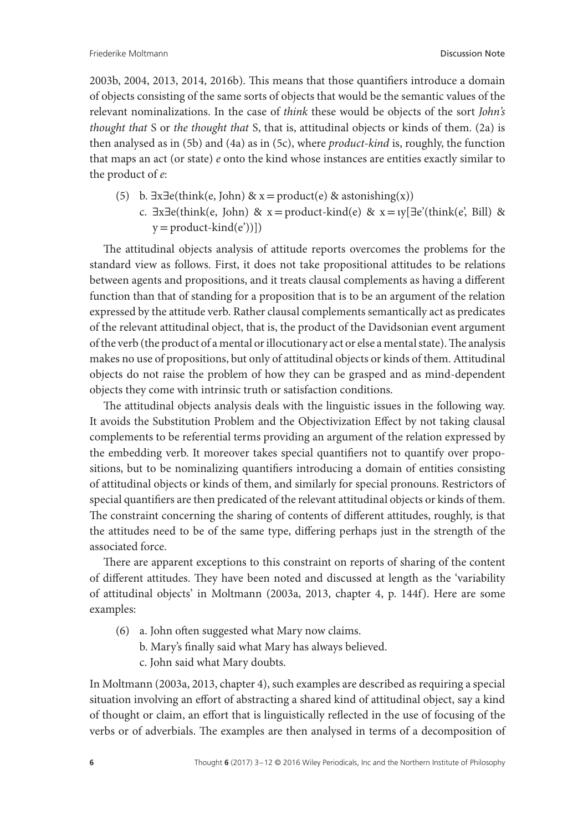2003b, 2004, 2013, 2014, 2016b). This means that those quantifiers introduce a domain of objects consisting of the same sorts of objects that would be the semantic values of the relevant nominalizations. In the case of *think* these would be objects of the sort *John's thought that* S or *the thought that* S, that is, attitudinal objects or kinds of them. (2a) is then analysed as in (5b) and (4a) as in (5c), where *product-kind* is, roughly, the function that maps an act (or state) *e* onto the kind whose instances are entities exactly similar to the product of *e*:

- (5) b.  $\exists x \exists e$ (think(e, John) & x = product(e) & astonishing(x))
	- c.  $\exists x \exists e$ (think(e, John) & x = product-kind(e) & x = ιγ[ $\exists e'$ (think(e', Bill) &  $y = product\text{-kind}(e'))$ ]

The attitudinal objects analysis of attitude reports overcomes the problems for the standard view as follows. First, it does not take propositional attitudes to be relations between agents and propositions, and it treats clausal complements as having a different function than that of standing for a proposition that is to be an argument of the relation expressed by the attitude verb. Rather clausal complements semantically act as predicates of the relevant attitudinal object, that is, the product of the Davidsonian event argument of the verb (the product of a mental or illocutionary act or else a mental state).The analysis makes no use of propositions, but only of attitudinal objects or kinds of them. Attitudinal objects do not raise the problem of how they can be grasped and as mind-dependent objects they come with intrinsic truth or satisfaction conditions.

The attitudinal objects analysis deals with the linguistic issues in the following way. It avoids the Substitution Problem and the Objectivization Effect by not taking clausal complements to be referential terms providing an argument of the relation expressed by the embedding verb. It moreover takes special quantifiers not to quantify over propositions, but to be nominalizing quantifiers introducing a domain of entities consisting of attitudinal objects or kinds of them, and similarly for special pronouns. Restrictors of special quantifiers are then predicated of the relevant attitudinal objects or kinds of them. The constraint concerning the sharing of contents of different attitudes, roughly, is that the attitudes need to be of the same type, differing perhaps just in the strength of the associated force.

There are apparent exceptions to this constraint on reports of sharing of the content of different attitudes. They have been noted and discussed at length as the 'variability of attitudinal objects' in Moltmann (2003a, 2013, chapter 4, p. 144f). Here are some examples:

- (6) a. John often suggested what Mary now claims.
	- b. Mary's finally said what Mary has always believed.
	- c. John said what Mary doubts.

In Moltmann (2003a, 2013, chapter 4), such examples are described as requiring a special situation involving an effort of abstracting a shared kind of attitudinal object, say a kind of thought or claim, an effort that is linguistically reflected in the use of focusing of the verbs or of adverbials. The examples are then analysed in terms of a decomposition of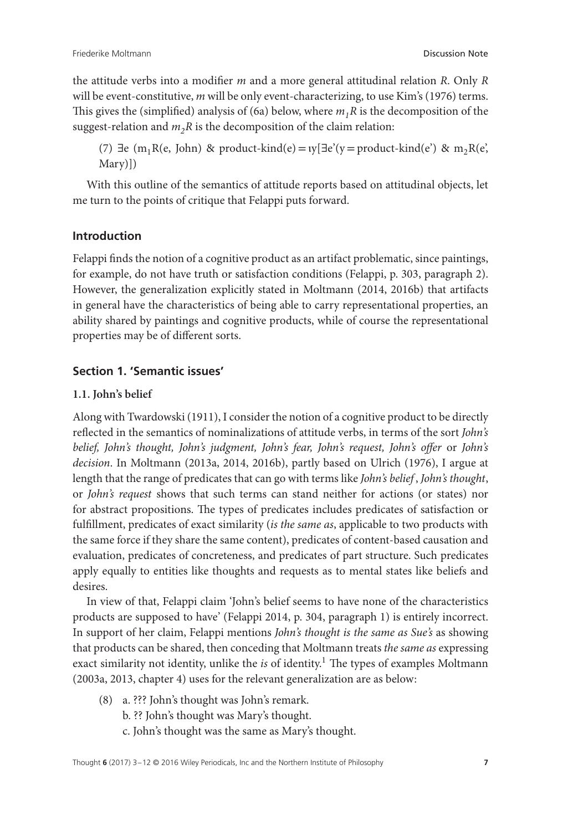the attitude verbs into a modifier *m* and a more general attitudinal relation *R*. Only *R* will be event-constitutive, *m* will be only event-characterizing, to use Kim's (1976) terms. This gives the (simplified) analysis of (6a) below, where *m1R* is the decomposition of the suggest-relation and  $m_2R$  is the decomposition of the claim relation:

(7)  $\exists e \ (m_1R(e, John) \ \& \ product\footnotesize{\text{rind}(e) = \text{ty}[\exists e'(y = \text{product\footnotesize{-}kind(e') \ \& \ \text{m} R(e', b) = \text{rind}(e)]}$ Mary)])

With this outline of the semantics of attitude reports based on attitudinal objects, let me turn to the points of critique that Felappi puts forward.

# **Introduction**

Felappi finds the notion of a cognitive product as an artifact problematic, since paintings, for example, do not have truth or satisfaction conditions (Felappi, p. 303, paragraph 2). However, the generalization explicitly stated in Moltmann (2014, 2016b) that artifacts in general have the characteristics of being able to carry representational properties, an ability shared by paintings and cognitive products, while of course the representational properties may be of different sorts.

# **Section 1. 'Semantic issues'**

## **1.1. John's belief**

Along with Twardowski (1911), I consider the notion of a cognitive product to be directly reflected in the semantics of nominalizations of attitude verbs, in terms of the sort *John's belief, John's thought, John's judgment, John's fear, John's request, John's offer* or *John's decision*. In Moltmann (2013a, 2014, 2016b), partly based on Ulrich (1976), I argue at length that the range of predicates that can go with terms like *John's belief* , *John's thought*, or *John's request* shows that such terms can stand neither for actions (or states) nor for abstract propositions. The types of predicates includes predicates of satisfaction or fulfillment, predicates of exact similarity (*is the same as*, applicable to two products with the same force if they share the same content), predicates of content-based causation and evaluation, predicates of concreteness, and predicates of part structure. Such predicates apply equally to entities like thoughts and requests as to mental states like beliefs and desires.

In view of that, Felappi claim 'John's belief seems to have none of the characteristics products are supposed to have' (Felappi 2014, p. 304, paragraph 1) is entirely incorrect. In support of her claim, Felappi mentions *John's thought is the same as Sue's* as showing that products can be shared, then conceding that Moltmann treats *the same as* expressing exact similarity not identity, unlike the *is* of identity.<sup>1</sup> The types of examples Moltmann (2003a, 2013, chapter 4) uses for the relevant generalization are as below:

- (8) a. ??? John's thought was John's remark.
	- b. ?? John's thought was Mary's thought.
	- c. John's thought was the same as Mary's thought.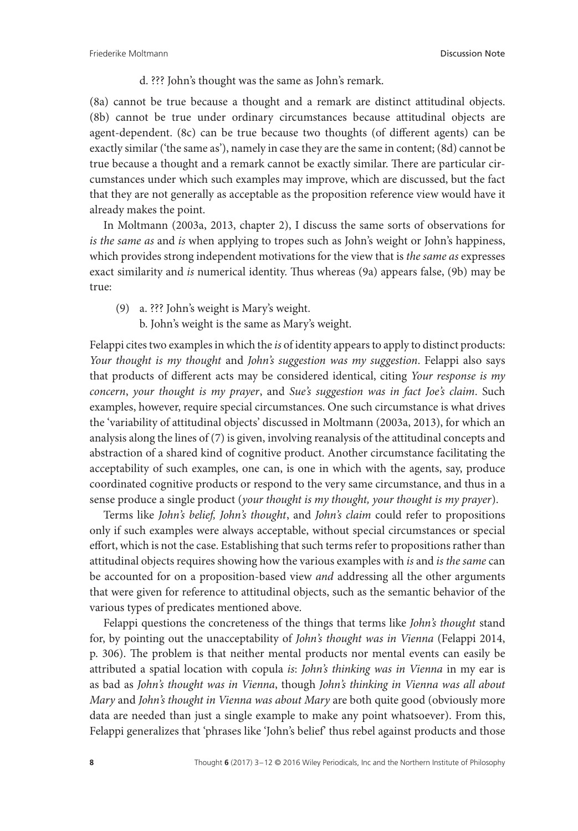d. ??? John's thought was the same as John's remark.

(8a) cannot be true because a thought and a remark are distinct attitudinal objects. (8b) cannot be true under ordinary circumstances because attitudinal objects are agent-dependent. (8c) can be true because two thoughts (of different agents) can be exactly similar ('the same as'), namely in case they are the same in content; (8d) cannot be true because a thought and a remark cannot be exactly similar. There are particular circumstances under which such examples may improve, which are discussed, but the fact that they are not generally as acceptable as the proposition reference view would have it already makes the point.

In Moltmann (2003a, 2013, chapter 2), I discuss the same sorts of observations for *is the same as* and *is* when applying to tropes such as John's weight or John's happiness, which provides strong independent motivations for the view that is *the same as* expresses exact similarity and *is* numerical identity. Thus whereas (9a) appears false, (9b) may be true:

(9) a. ??? John's weight is Mary's weight. b. John's weight is the same as Mary's weight.

Felappi cites two examples in which the *is* of identity appears to apply to distinct products: *Your thought is my thought* and *John's suggestion was my suggestion*. Felappi also says that products of different acts may be considered identical, citing *Your response is my concern*, *your thought is my prayer*, and *Sue's suggestion was in fact Joe's claim*. Such examples, however, require special circumstances. One such circumstance is what drives the 'variability of attitudinal objects' discussed in Moltmann (2003a, 2013), for which an analysis along the lines of (7) is given, involving reanalysis of the attitudinal concepts and abstraction of a shared kind of cognitive product. Another circumstance facilitating the acceptability of such examples, one can, is one in which with the agents, say, produce coordinated cognitive products or respond to the very same circumstance, and thus in a sense produce a single product (*your thought is my thought, your thought is my prayer*).

Terms like *John's belief, John's thought*, and *John's claim* could refer to propositions only if such examples were always acceptable, without special circumstances or special effort, which is not the case. Establishing that such terms refer to propositions rather than attitudinal objects requires showing how the various examples with *is* and *is the same* can be accounted for on a proposition-based view *and* addressing all the other arguments that were given for reference to attitudinal objects, such as the semantic behavior of the various types of predicates mentioned above.

Felappi questions the concreteness of the things that terms like *John's thought* stand for, by pointing out the unacceptability of *John's thought was in Vienna* (Felappi 2014, p. 306). The problem is that neither mental products nor mental events can easily be attributed a spatial location with copula *is*: *John's thinking was in Vienna* in my ear is as bad as *John's thought was in Vienna*, though *John's thinking in Vienna was all about Mary* and *John's thought in Vienna was about Mary* are both quite good (obviously more data are needed than just a single example to make any point whatsoever). From this, Felappi generalizes that 'phrases like 'John's belief' thus rebel against products and those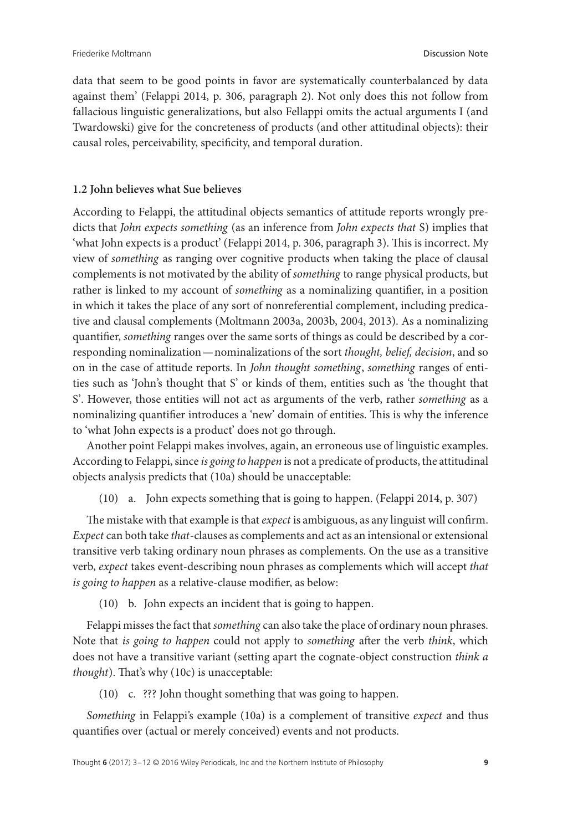data that seem to be good points in favor are systematically counterbalanced by data against them' (Felappi 2014, p. 306, paragraph 2). Not only does this not follow from fallacious linguistic generalizations, but also Fellappi omits the actual arguments I (and Twardowski) give for the concreteness of products (and other attitudinal objects): their causal roles, perceivability, specificity, and temporal duration.

## **1.2 John believes what Sue believes**

According to Felappi, the attitudinal objects semantics of attitude reports wrongly predicts that *John expects something* (as an inference from *John expects that* S) implies that 'what John expects is a product' (Felappi 2014, p. 306, paragraph 3). This is incorrect. My view of *something* as ranging over cognitive products when taking the place of clausal complements is not motivated by the ability of *something* to range physical products, but rather is linked to my account of *something* as a nominalizing quantifier, in a position in which it takes the place of any sort of nonreferential complement, including predicative and clausal complements (Moltmann 2003a, 2003b, 2004, 2013). As a nominalizing quantifier, *something* ranges over the same sorts of things as could be described by a corresponding nominalization—nominalizations of the sort *thought, belief, decision*, and so on in the case of attitude reports. In *John thought something*, *something* ranges of entities such as 'John's thought that S' or kinds of them, entities such as 'the thought that S'. However, those entities will not act as arguments of the verb, rather *something* as a nominalizing quantifier introduces a 'new' domain of entities. This is why the inference to 'what John expects is a product' does not go through.

Another point Felappi makes involves, again, an erroneous use of linguistic examples. According to Felappi, since *is going to happen* is not a predicate of products, the attitudinal objects analysis predicts that (10a) should be unacceptable:

(10) a. John expects something that is going to happen. (Felappi 2014, p. 307)

The mistake with that example is that *expect* is ambiguous, as any linguist will confirm. *Expect* can both take *that*-clauses as complements and act as an intensional or extensional transitive verb taking ordinary noun phrases as complements. On the use as a transitive verb, *expect* takes event-describing noun phrases as complements which will accept *that is going to happen* as a relative-clause modifier, as below:

(10) b. John expects an incident that is going to happen.

Felappi misses the fact that*something* can also take the place of ordinary noun phrases. Note that *is going to happen* could not apply to *something* after the verb *think*, which does not have a transitive variant (setting apart the cognate-object construction *think a thought*). That's why (10c) is unacceptable:

(10) c. ??? John thought something that was going to happen.

*Something* in Felappi's example (10a) is a complement of transitive *expect* and thus quantifies over (actual or merely conceived) events and not products.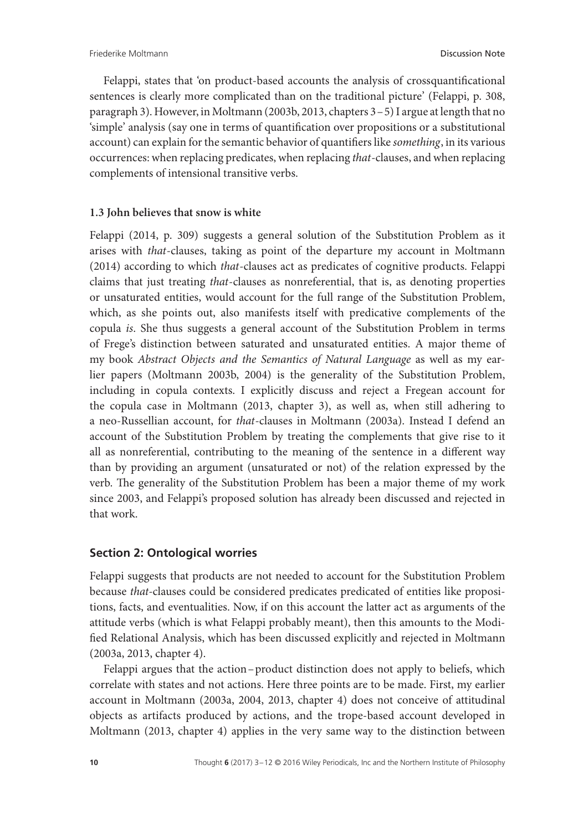Felappi, states that 'on product-based accounts the analysis of crossquantificational sentences is clearly more complicated than on the traditional picture' (Felappi, p. 308, paragraph 3). However, in Moltmann (2003b, 2013, chapters 3–5) I argue at length that no 'simple' analysis (say one in terms of quantification over propositions or a substitutional account) can explain for the semantic behavior of quantifiers like *something*, in its various occurrences: when replacing predicates, when replacing *that*-clauses, and when replacing complements of intensional transitive verbs.

#### **1.3 John believes that snow is white**

Felappi (2014, p. 309) suggests a general solution of the Substitution Problem as it arises with *that*-clauses, taking as point of the departure my account in Moltmann (2014) according to which *that*-clauses act as predicates of cognitive products. Felappi claims that just treating *that*-clauses as nonreferential, that is, as denoting properties or unsaturated entities, would account for the full range of the Substitution Problem, which, as she points out, also manifests itself with predicative complements of the copula *is*. She thus suggests a general account of the Substitution Problem in terms of Frege's distinction between saturated and unsaturated entities. A major theme of my book *Abstract Objects and the Semantics of Natural Language* as well as my earlier papers (Moltmann 2003b, 2004) is the generality of the Substitution Problem, including in copula contexts. I explicitly discuss and reject a Fregean account for the copula case in Moltmann (2013, chapter 3), as well as, when still adhering to a neo-Russellian account, for *that*-clauses in Moltmann (2003a). Instead I defend an account of the Substitution Problem by treating the complements that give rise to it all as nonreferential, contributing to the meaning of the sentence in a different way than by providing an argument (unsaturated or not) of the relation expressed by the verb. The generality of the Substitution Problem has been a major theme of my work since 2003, and Felappi's proposed solution has already been discussed and rejected in that work.

### **Section 2: Ontological worries**

Felappi suggests that products are not needed to account for the Substitution Problem because *that-*clauses could be considered predicates predicated of entities like propositions, facts, and eventualities. Now, if on this account the latter act as arguments of the attitude verbs (which is what Felappi probably meant), then this amounts to the Modified Relational Analysis, which has been discussed explicitly and rejected in Moltmann (2003a, 2013, chapter 4).

Felappi argues that the action–product distinction does not apply to beliefs, which correlate with states and not actions. Here three points are to be made. First, my earlier account in Moltmann (2003a, 2004, 2013, chapter 4) does not conceive of attitudinal objects as artifacts produced by actions, and the trope-based account developed in Moltmann (2013, chapter 4) applies in the very same way to the distinction between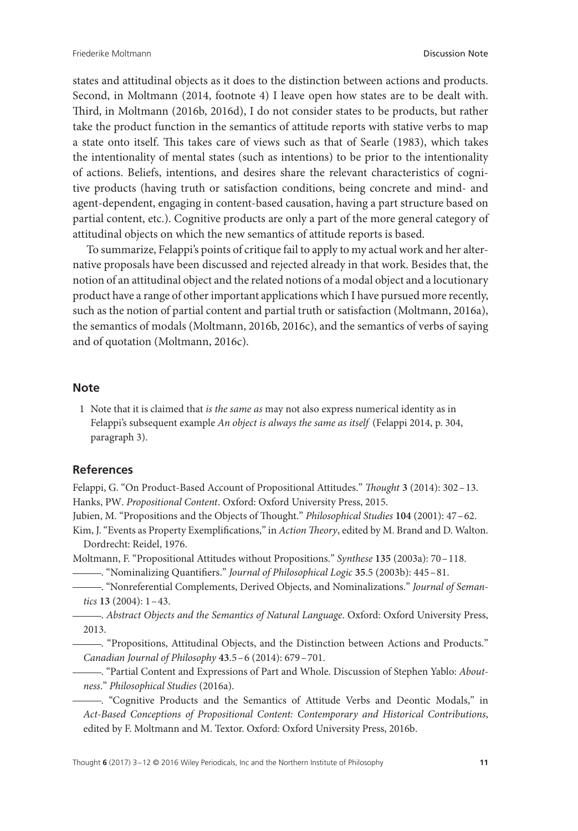states and attitudinal objects as it does to the distinction between actions and products. Second, in Moltmann (2014, footnote 4) I leave open how states are to be dealt with. Third, in Moltmann (2016b, 2016d), I do not consider states to be products, but rather take the product function in the semantics of attitude reports with stative verbs to map a state onto itself. This takes care of views such as that of Searle (1983), which takes the intentionality of mental states (such as intentions) to be prior to the intentionality of actions. Beliefs, intentions, and desires share the relevant characteristics of cognitive products (having truth or satisfaction conditions, being concrete and mind- and agent-dependent, engaging in content-based causation, having a part structure based on partial content, etc.). Cognitive products are only a part of the more general category of attitudinal objects on which the new semantics of attitude reports is based.

To summarize, Felappi's points of critique fail to apply to my actual work and her alternative proposals have been discussed and rejected already in that work. Besides that, the notion of an attitudinal object and the related notions of a modal object and a locutionary product have a range of other important applications which I have pursued more recently, such as the notion of partial content and partial truth or satisfaction (Moltmann, 2016a), the semantics of modals (Moltmann, 2016b, 2016c), and the semantics of verbs of saying and of quotation (Moltmann, 2016c).

#### **Note**

1 Note that it is claimed that *is the same as* may not also express numerical identity as in Felappi's subsequent example *An object is always the same as itself* (Felappi 2014, p. 304, paragraph 3).

#### **References**

Felappi, G. "On Product-Based Account of Propositional Attitudes." *Thought* **3** (2014): 302–13. Hanks, PW. *Propositional Content*. Oxford: Oxford University Press, 2015.

Jubien, M. "Propositions and the Objects of Thought." *Philosophical Studies* **104** (2001): 47–62.

Kim, J. "Events as Property Exemplifications," in *Action Theory*, edited by M. Brand and D. Walton. Dordrecht: Reidel, 1976.

Moltmann, F. "Propositional Attitudes without Propositions." *Synthese* **135** (2003a): 70–118.

- . "Nominalizing Quantifiers." *Journal of Philosophical Logic* **35**.5 (2003b): 445–81.
	- . "Nonreferential Complements, Derived Objects, and Nominalizations." *Journal of Semantics* **13** (2004): 1–43.

. *Abstract Objects and the Semantics of Natural Language*. Oxford: Oxford University Press, 2013.

. "Propositions, Attitudinal Objects, and the Distinction between Actions and Products." *Canadian Journal of Philosophy* **43**.5–6 (2014): 679–701.

. "Partial Content and Expressions of Part and Whole. Discussion of Stephen Yablo: *Aboutness*." *Philosophical Studies* (2016a).

. "Cognitive Products and the Semantics of Attitude Verbs and Deontic Modals," in *Act-Based Conceptions of Propositional Content: Contemporary and Historical Contributions*, edited by F. Moltmann and M. Textor. Oxford: Oxford University Press, 2016b.